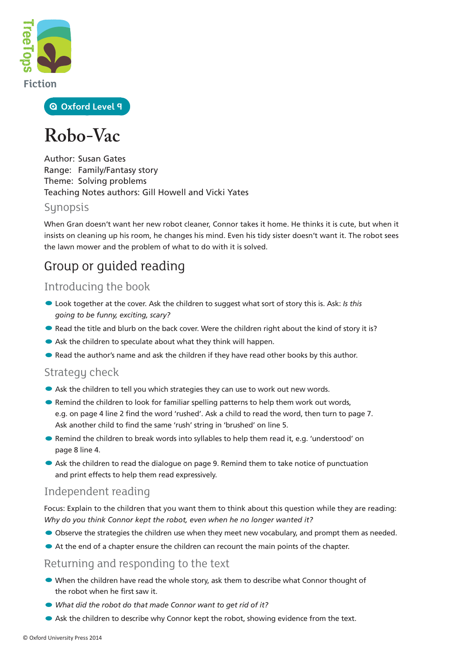

**Oxford Level 9**

# **Robo-Vac**

Author: Susan Gates Range: Family/Fantasy story Theme: Solving problems Teaching Notes authors: Gill Howell and Vicki Yates

#### **Synopsis**

When Gran doesn't want her new robot cleaner, Connor takes it home. He thinks it is cute, but when it insists on cleaning up his room, he changes his mind. Even his tidy sister doesn't want it. The robot sees the lawn mower and the problem of what to do with it is solved.

### Group or guided reading

### Introducing the book

- •Look together at the cover. Ask the children to suggest what sort of story this is. Ask: *Is this going to be funny, exciting, scary?*
- Read the title and blurb on the back cover. Were the children right about the kind of story it is?
- Ask the children to speculate about what they think will happen.
- Read the author's name and ask the children if they have read other books by this author.

#### Strategy check

- Ask the children to tell you which strategies they can use to work out new words.
- Remind the children to look for familiar spelling patterns to help them work out words, e.g. on page 4 line 2 find the word 'rushed'. Ask a child to read the word, then turn to page 7. Ask another child to find the same 'rush' string in 'brushed' on line 5.
- Remind the children to break words into syllables to help them read it, e.g. 'understood' on page 8 line 4.
- Ask the children to read the dialogue on page 9. Remind them to take notice of punctuation and print effects to help them read expressively.

### Independent reading

Focus: Explain to the children that you want them to think about this question while they are reading: *Why do you think Connor kept the robot, even when he no longer wanted it?*

- Observe the strategies the children use when they meet new vocabulary, and prompt them as needed.
- At the end of a chapter ensure the children can recount the main points of the chapter.

#### Returning and responding to the text

- When the children have read the whole story, ask them to describe what Connor thought of the robot when he first saw it.
- *What did the robot do that made Connor want to get rid of it?*
- Ask the children to describe why Connor kept the robot, showing evidence from the text.